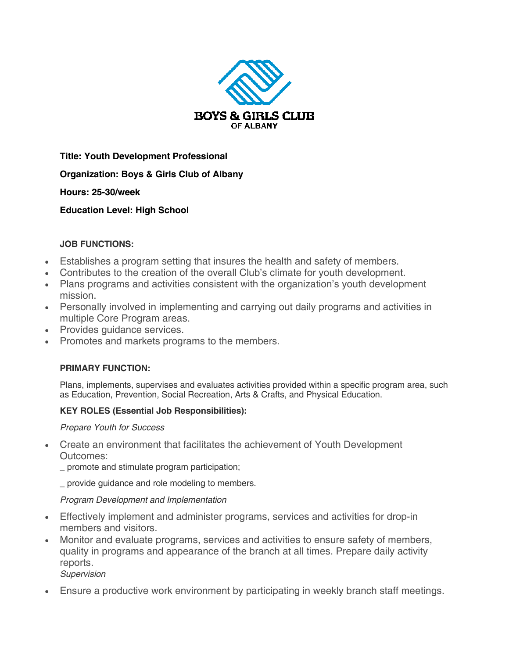

**Title: Youth Development Professional**

**Organization: Boys & Girls Club of Albany** 

**Hours: 25-30/week** 

**Education Level: High School**

## **JOB FUNCTIONS:**

- Establishes a program setting that insures the health and safety of members.
- Contributes to the creation of the overall Club's climate for youth development.
- Plans programs and activities consistent with the organization's youth development mission.
- Personally involved in implementing and carrying out daily programs and activities in multiple Core Program areas.
- Provides guidance services.
- Promotes and markets programs to the members.

## **PRIMARY FUNCTION:**

Plans, implements, supervises and evaluates activities provided within a specific program area, such as Education, Prevention, Social Recreation, Arts & Crafts, and Physical Education.

## **KEY ROLES (Essential Job Responsibilities):**

*Prepare Youth for Success*

• Create an environment that facilitates the achievement of Youth Development Outcomes:

promote and stimulate program participation;

\_ provide guidance and role modeling to members.

## *Program Development and Implementation*

- Effectively implement and administer programs, services and activities for drop-in members and visitors.
- Monitor and evaluate programs, services and activities to ensure safety of members, quality in programs and appearance of the branch at all times. Prepare daily activity reports.

*Supervision*

• Ensure a productive work environment by participating in weekly branch staff meetings.